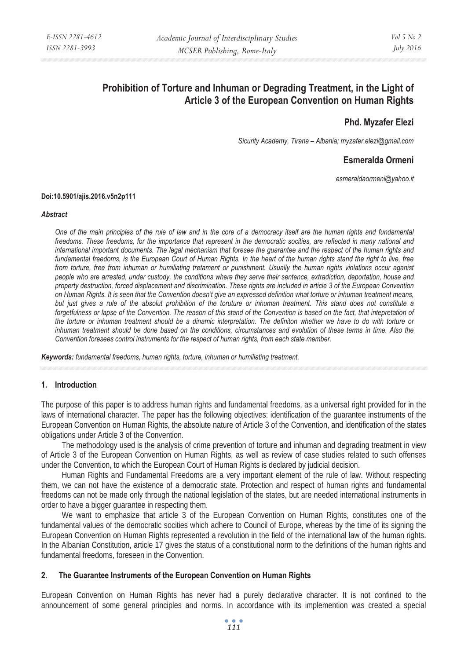# **Prohibition of Torture and Inhuman or Degrading Treatment, in the Light of Article 3 of the European Convention on Human Rights**

# **Phd. Myzafer Elezi**

*Sicurity Academy, Tirana – Albania; myzafer.elezi@gmail.com* 

## **Esmeralda Ormeni**

*esmeraldaormeni@yahoo.it* 

#### **Doi:10.5901/ajis.2016.v5n2p111**

#### *Abstract*

*One of the main principles of the rule of law and in the core of a democracy itself are the human rights and fundamental freedoms. These freedoms, for the importance that represent in the democratic socities, are reflected in many national and*  international important documents. The legal mechanism that foresee the guarantee and the respect of the human rights and *fundamental freedoms, is the European Court of Human Rights. In the heart of the human rights stand the right to live, free*  from torture, free from inhuman or humiliating tretament or punishment. Usually the human rights violations occur aganist *people who are arrested, under custody, the conditions where they serve their sentence, extradiction, deportation, house and property destruction, forced displacement and discrimination. These rights are included in article 3 of the European Convention on Human Rights. It is seen that the Convention doesn't give an expressed definition what torture or inhuman treatment means, but just gives a rule of the absolut prohibition of the toruture or inhuman treatment. This stand does not constitute a*  forgetfulness or lapse of the Convention. The reason of this stand of the Convention is based on the fact, that intepretation of *the torture or inhuman treatment should be a dinamic interpretation. The definiton whether we have to do with torture or inhuman treatment should be done based on the conditions, circumstances and evolution of these terms in time. Also the Convention foresees control instruments for the respect of human rights, from each state member.* 

*Keywords: fundamental freedoms, human rights, torture, inhuman or humiliating treatment.*

#### **1. Introduction**

The purpose of this paper is to address human rights and fundamental freedoms, as a universal right provided for in the laws of international character. The paper has the following objectives: identification of the guarantee instruments of the European Convention on Human Rights, the absolute nature of Article 3 of the Convention, and identification of the states obligations under Article 3 of the Convention.

The methodology used is the analysis of crime prevention of torture and inhuman and degrading treatment in view of Article 3 of the European Convention on Human Rights, as well as review of case studies related to such offenses under the Convention, to which the European Court of Human Rights is declared by judicial decision.

Human Rights and Fundamental Freedoms are a very important element of the rule of law. Without respecting them, we can not have the existence of a democratic state. Protection and respect of human rights and fundamental freedoms can not be made only through the national legislation of the states, but are needed international instruments in order to have a bigger guarantee in respecting them.

We want to emphasize that article 3 of the European Convention on Human Rights, constitutes one of the fundamental values of the democratic socities which adhere to Council of Europe, whereas by the time of its signing the European Convention on Human Rights represented a revolution in the field of the international law of the human rights. In the Albanian Constitution, article 17 gives the status of a constitutional norm to the definitions of the human rights and fundamental freedoms, foreseen in the Convention.

### **2. The Guarantee Instruments of the European Convention on Human Rights**

European Convention on Human Rights has never had a purely declarative character. It is not confined to the announcement of some general principles and norms. In accordance with its implemention was created a special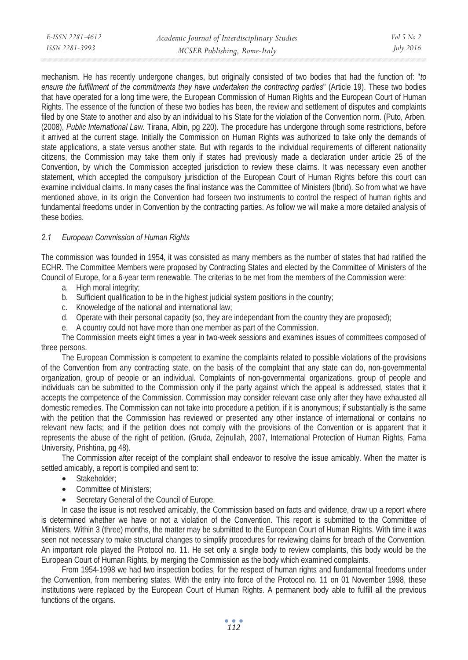mechanism. He has recently undergone changes, but originally consisted of two bodies that had the function of: "*to ensure the fulfillment of the commitments they have undertaken the contracting parties*" (Article 19). These two bodies that have operated for a long time were, the European Commission of Human Rights and the European Court of Human Rights. The essence of the function of these two bodies has been, the review and settlement of disputes and complaints filed by one State to another and also by an individual to his State for the violation of the Convention norm. (Puto, Arben. (2008), *Public International Law.* Tirana, Albin, pg 220). The procedure has undergone through some restrictions, before it arrived at the current stage. Initially the Commission on Human Rights was authorized to take only the demands of state applications, a state versus another state. But with regards to the individual requirements of different nationality citizens, the Commission may take them only if states had previously made a declaration under article 25 of the Convention, by which the Commission accepted jurisdiction to review these claims. It was necessary even another statement, which accepted the compulsory jurisdiction of the European Court of Human Rights before this court can examine individual claims. In many cases the final instance was the Committee of Ministers (Ibrid). So from what we have mentioned above, in its origin the Convention had forseen two instruments to control the respect of human rights and fundamental freedoms under in Convention by the contracting parties. As follow we will make a more detailed analysis of these bodies.

### *2.1 European Commission of Human Rights*

The commission was founded in 1954, it was consisted as many members as the number of states that had ratified the ECHR. The Committee Members were proposed by Contracting States and elected by the Committee of Ministers of the Council of Europe, for a 6-year term renewable. The criterias to be met from the members of the Commission were:

- a. High moral integrity;
- b. Sufficient qualification to be in the highest judicial system positions in the country;
- c. Knoweledge of the national and international law;
- d. Operate with their personal capacity (so, they are independant from the country they are proposed);
- e. A country could not have more than one member as part of the Commission.

The Commission meets eight times a year in two-week sessions and examines issues of committees composed of three persons.

The European Commission is competent to examine the complaints related to possible violations of the provisions of the Convention from any contracting state, on the basis of the complaint that any state can do, non-governmental organization, group of people or an individual. Complaints of non-governmental organizations, group of people and individuals can be submitted to the Commission only if the party against which the appeal is addressed, states that it accepts the competence of the Commission. Commission may consider relevant case only after they have exhausted all domestic remedies. The Commission can not take into procedure a petition, if it is anonymous; if substantially is the same with the petition that the Commission has reviewed or presented any other instance of international or contains no relevant new facts; and if the petition does not comply with the provisions of the Convention or is apparent that it represents the abuse of the right of petition. (Gruda, Zejnullah, 2007, International Protection of Human Rights, Fama University, Prishtina, pg 48).

The Commission after receipt of the complaint shall endeavor to resolve the issue amicably. When the matter is settled amicably, a report is compiled and sent to:

- Stakeholder;
- Committee of Ministers;
- Secretary General of the Council of Europe.

In case the issue is not resolved amicably, the Commission based on facts and evidence, draw up a report where is determined whether we have or not a violation of the Convention. This report is submitted to the Committee of Ministers. Within 3 (three) months, the matter may be submitted to the European Court of Human Rights. With time it was seen not necessary to make structural changes to simplify procedures for reviewing claims for breach of the Convention. An important role played the Protocol no. 11. He set only a single body to review complaints, this body would be the European Court of Human Rights, by merging the Commission as the body which examined complaints.

From 1954-1998 we had two inspection bodies, for the respect of human rights and fundamental freedoms under the Convention, from membering states. With the entry into force of the Protocol no. 11 on 01 November 1998, these institutions were replaced by the European Court of Human Rights. A permanent body able to fulfill all the previous functions of the organs.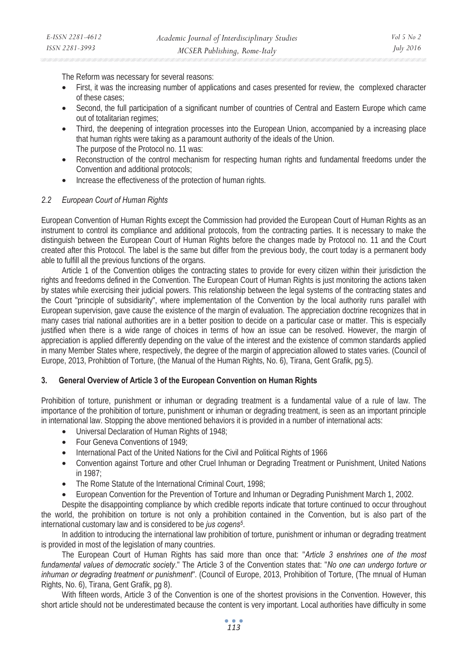The Reform was necessary for several reasons:

- First, it was the increasing number of applications and cases presented for review, the complexed character of these cases;
- Second, the full participation of a significant number of countries of Central and Eastern Europe which came out of totalitarian regimes;
- Third, the deepening of integration processes into the European Union, accompanied by a increasing place that human rights were taking as a paramount authority of the ideals of the Union. The purpose of the Protocol no. 11 was:
- Reconstruction of the control mechanism for respecting human rights and fundamental freedoms under the Convention and additional protocols;
- Increase the effectiveness of the protection of human rights.

### *2.2 European Court of Human Rights*

European Convention of Human Rights except the Commission had provided the European Court of Human Rights as an instrument to control its compliance and additional protocols, from the contracting parties. It is necessary to make the distinguish between the European Court of Human Rights before the changes made by Protocol no. 11 and the Court created after this Protocol. The label is the same but differ from the previous body, the court today is a permanent body able to fulfill all the previous functions of the organs.

Article 1 of the Convention obliges the contracting states to provide for every citizen within their jurisdiction the rights and freedoms defined in the Convention. The European Court of Human Rights is just monitoring the actions taken by states while exercising their judicial powers. This relationship between the legal systems of the contracting states and the Court "principle of subsidiarity", where implementation of the Convention by the local authority runs parallel with European supervision, gave cause the existence of the margin of evaluation. The appreciation doctrine recognizes that in many cases trial national authorities are in a better position to decide on a particular case or matter. This is especially justified when there is a wide range of choices in terms of how an issue can be resolved. However, the margin of appreciation is applied differently depending on the value of the interest and the existence of common standards applied in many Member States where, respectively, the degree of the margin of appreciation allowed to states varies. (Council of Europe, 2013, Prohibtion of Torture, (the Manual of the Human Rights, No. 6), Tirana, Gent Grafik, pg.5).

### **3. General Overview of Article 3 of the European Convention on Human Rights**

Prohibition of torture, punishment or inhuman or degrading treatment is a fundamental value of a rule of law. The importance of the prohibition of torture, punishment or inhuman or degrading treatment, is seen as an important principle in international law. Stopping the above mentioned behaviors it is provided in a number of international acts:

- Universal Declaration of Human Rights of 1948;
- Four Geneva Conventions of 1949;
- International Pact of the United Nations for the Civil and Political Rights of 1966
- Convention against Torture and other Cruel Inhuman or Degrading Treatment or Punishment, United Nations in 1987;
- The Rome Statute of the International Criminal Court, 1998;
- European Convention for the Prevention of Torture and Inhuman or Degrading Punishment March 1, 2002.

Despite the disappointing compliance by which credible reports indicate that torture continued to occur throughout the world, the prohibition on torture is not only a prohibition contained in the Convention, but is also part of the international customary law and is considered to be *jus cogens5*.

In addition to introducing the international law prohibition of torture, punishment or inhuman or degrading treatment is provided in most of the legislation of many countries.

The European Court of Human Rights has said more than once that: "*Article 3 enshrines one of the most fundamental values of democratic society*." The Article 3 of the Convention states that: "*No one can undergo torture or inhuman or degrading treatment or punishment*". (Council of Europe, 2013, Prohibition of Torture, (The mnual of Human Rights, No. 6), Tirana, Gent Grafik, pg 8).

With fifteen words, Article 3 of the Convention is one of the shortest provisions in the Convention. However, this short article should not be underestimated because the content is very important. Local authorities have difficulty in some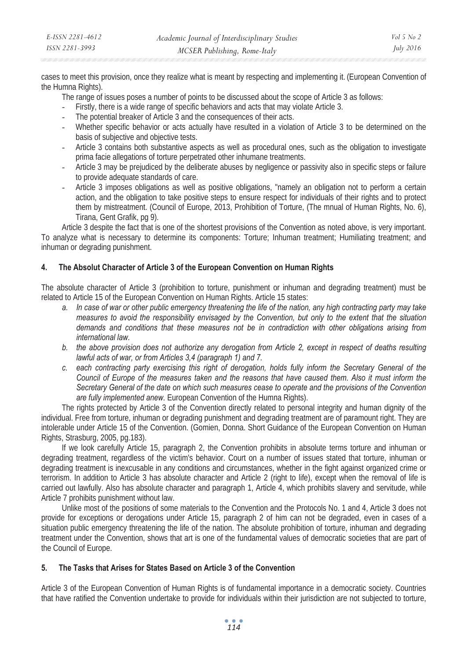| E-ISSN 2281-4612 | Academic Journal of Interdisciplinary Studies | $Vol_5$ No 2     |
|------------------|-----------------------------------------------|------------------|
| ISSN 2281-3993   | MCSER Publishing, Rome-Italy                  | <i>July 2016</i> |

cases to meet this provision, once they realize what is meant by respecting and implementing it. (European Convention of the Humna Rights).

The range of issues poses a number of points to be discussed about the scope of Article 3 as follows:

- Firstly, there is a wide range of specific behaviors and acts that may violate Article 3.
- The potential breaker of Article 3 and the consequences of their acts.
- Whether specific behavior or acts actually have resulted in a violation of Article 3 to be determined on the basis of subjective and objective tests.
- Article 3 contains both substantive aspects as well as procedural ones, such as the obligation to investigate prima facie allegations of torture perpetrated other inhumane treatments.
- Article 3 may be prejudiced by the deliberate abuses by negligence or passivity also in specific steps or failure to provide adequate standards of care.
- Article 3 imposes obligations as well as positive obligations, "namely an obligation not to perform a certain action, and the obligation to take positive steps to ensure respect for individuals of their rights and to protect them by mistreatment. (Council of Europe, 2013, Prohibition of Torture, (The mnual of Human Rights, No. 6), Tirana, Gent Grafik, pg 9).

Article 3 despite the fact that is one of the shortest provisions of the Convention as noted above, is very important. To analyze what is necessary to determine its components: Torture; Inhuman treatment; Humiliating treatment; and inhuman or degrading punishment.

### **4. The Absolut Character of Article 3 of the European Convention on Human Rights**

The absolute character of Article 3 (prohibition to torture, punishment or inhuman and degrading treatment) must be related to Article 15 of the European Convention on Human Rights. Article 15 states:

- *a. In case of war or other public emergency threatening the life of the nation, any high contracting party may take measures to avoid the responsibility envisaged by the Convention, but only to the extent that the situation demands and conditions that these measures not be in contradiction with other obligations arising from international law.*
- *b. the above provision does not authorize any derogation from Article 2, except in respect of deaths resulting lawful acts of war, or from Articles 3,4 (paragraph 1) and 7.*
- *c. each contracting party exercising this right of derogation, holds fully inform the Secretary General of the Council of Europe of the measures taken and the reasons that have caused them. Also it must inform the Secretary General of the date on which such measures cease to operate and the provisions of the Convention are fully implemented anew.* European Convention of the Humna Rights).

The rights protected by Article 3 of the Convention directly related to personal integrity and human dignity of the individual. Free from torture, inhuman or degrading punishment and degrading treatment are of paramount right. They are intolerable under Article 15 of the Convention. (Gomien, Donna. Short Guidance of the European Convention on Human Rights, Strasburg, 2005, pg.183).

If we look carefully Article 15, paragraph 2, the Convention prohibits in absolute terms torture and inhuman or degrading treatment, regardless of the victim's behavior. Court on a number of issues stated that torture, inhuman or degrading treatment is inexcusable in any conditions and circumstances, whether in the fight against organized crime or terrorism. In addition to Article 3 has absolute character and Article 2 (right to life), except when the removal of life is carried out lawfully. Also has absolute character and paragraph 1, Article 4, which prohibits slavery and servitude, while Article 7 prohibits punishment without law.

Unlike most of the positions of some materials to the Convention and the Protocols No. 1 and 4, Article 3 does not provide for exceptions or derogations under Article 15, paragraph 2 of him can not be degraded, even in cases of a situation public emergency threatening the life of the nation. The absolute prohibition of torture, inhuman and degrading treatment under the Convention, shows that art is one of the fundamental values of democratic societies that are part of the Council of Europe.

## **5. The Tasks that Arises for States Based on Article 3 of the Convention**

Article 3 of the European Convention of Human Rights is of fundamental importance in a democratic society. Countries that have ratified the Convention undertake to provide for individuals within their jurisdiction are not subjected to torture,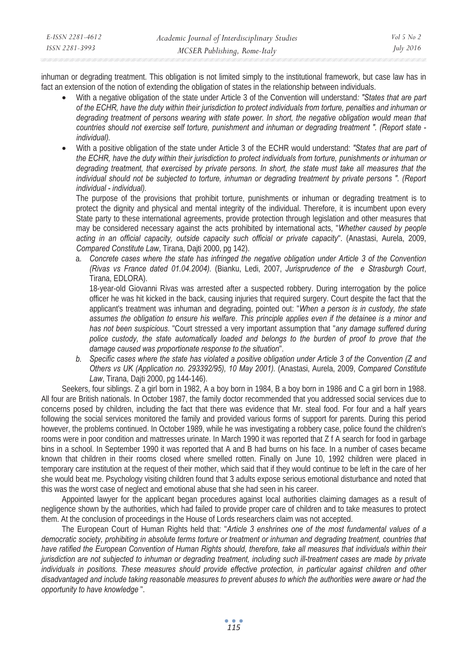| E-ISSN 2281-4612 | Academic Journal of Interdisciplinary Studies | <i>Vol</i> 5 No 2 |
|------------------|-----------------------------------------------|-------------------|
| ISSN 2281-3993   | MCSER Publishing, Rome-Italy                  | July 2016         |

inhuman or degrading treatment. This obligation is not limited simply to the institutional framework, but case law has in fact an extension of the notion of extending the obligation of states in the relationship between individuals.

- With a negative obligation of the state under Article 3 of the Convention will understand*: "States that are part of the ECHR, have the duty within their jurisdiction to protect individuals from torture, penalties and inhuman or degrading treatment of persons wearing with state power. In short, the negative obligation would mean that countries should not exercise self torture, punishment and inhuman or degrading treatment ". (Report state individual).*
- With a positive obligation of the state under Article 3 of the ECHR would understand: *"States that are part of the ECHR, have the duty within their jurisdiction to protect individuals from torture, punishments or inhuman or degrading treatment, that exercised by private persons. In short, the state must take all measures that the individual should not be subjected to torture, inhuman or degrading treatment by private persons ". (Report individual - individual).*

The purpose of the provisions that prohibit torture, punishments or inhuman or degrading treatment is to protect the dignity and physical and mental integrity of the individual. Therefore, it is incumbent upon every State party to these international agreements, provide protection through legislation and other measures that may be considered necessary against the acts prohibited by international acts, "*Whether caused by people acting in an official capacity, outside capacity such official or private capacity*". (Anastasi, Aurela, 2009, *Compared Constitute Law*, Tirana, Dajti 2000, pg 142).

a. *Concrete cases where the state has infringed the negative obligation under Article 3 of the Convention (Rivas vs France dated 01.04.2004).* (Bianku, Ledi, 2007, *Jurisprudence of the e Strasburgh Court*, Tirana, EDLORA).

18-year-old Giovanni Rivas was arrested after a suspected robbery. During interrogation by the police officer he was hit kicked in the back, causing injuries that required surgery. Court despite the fact that the applicant's treatment was inhuman and degrading, pointed out: "*When a person is in custody, the state assumes the obligation to ensure his welfare*. *This principle applies even if the detainee is a minor and has not been suspicious*. "Court stressed a very important assumption that "*any damage suffered during police custody, the state automatically loaded and belongs to the burden of proof to prove that the damage caused was proportionate response to the situation*".

*b. Specific cases where the state has violated a positive obligation under Article 3 of the Convention (Z and Others vs UK (Application no. 293392/95), 10 May 2001).* (Anastasi, Aurela, 2009, *Compared Constitute Law*, Tirana, Dajti 2000, pg 144-146).

Seekers, four siblings. Z a girl born in 1982, A a boy born in 1984, B a boy born in 1986 and C a girl born in 1988. All four are British nationals. In October 1987, the family doctor recommended that you addressed social services due to concerns posed by children, including the fact that there was evidence that Mr. steal food. For four and a half years following the social services monitored the family and provided various forms of support for parents. During this period however, the problems continued. In October 1989, while he was investigating a robbery case, police found the children's rooms were in poor condition and mattresses urinate. In March 1990 it was reported that Z f A search for food in garbage bins in a school. In September 1990 it was reported that A and B had burns on his face. In a number of cases became known that children in their rooms closed where smelled rotten. Finally on June 10, 1992 children were placed in temporary care institution at the request of their mother, which said that if they would continue to be left in the care of her she would beat me. Psychology visiting children found that 3 adults expose serious emotional disturbance and noted that this was the worst case of neglect and emotional abuse that she had seen in his career.

Appointed lawyer for the applicant began procedures against local authorities claiming damages as a result of negligence shown by the authorities, which had failed to provide proper care of children and to take measures to protect them. At the conclusion of proceedings in the House of Lords researchers claim was not accepted.

The European Court of Human Rights held that: "*Article 3 enshrines one of the most fundamental values of a democratic society, prohibiting in absolute terms torture or treatment or inhuman and degrading treatment, countries that*  have ratified the European Convention of Human Rights should, therefore, take all measures that individuals within their *jurisdiction are not subjected to inhuman or degrading treatment, including such ill-treatment cases are made by private individuals in positions. These measures should provide effective protection, in particular against children and other disadvantaged and include taking reasonable measures to prevent abuses to which the authorities were aware or had the opportunity to have knowledge* ".